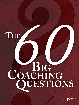

## HE<br>**BIG**<br>**COACHING**<br>COACHING **Questions Coaching**

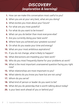## *DISCOVERY (exploration & learning)*

- **1.** How can we make this conversation most useful to you?
- **2.** When you are at your very best, what are you doing?
- **3.** What excites you most about your future?
- **4.** For what are you most grateful?
- **5.** For what do you want to be known?
- **6.** What can you do better than most everyone else?
- **7.** Are you currently doing your best work?
- **8.** Where have you achieved your greatest success?
- **9.** On what do you waste your time and energy?
- **10.** What are your most ambitious aspirations?
- **11.** If you do not change, what is likely to happen?
- **12.** What distractions are impeding your best work?
- **13.** Who do you most frequently blame for your problems at work?
- **14.** What is the most important unanswered question facing you right now?
- **15.** What relationships are most important to you?
- **16.** What talents do you know you have but are not using?
- **17.** Whom do you serve?
- **18.** What kind of person or leader do you want to be?
- **19.** What did you do yesterday that is worth talking about today?
- **20.** Is your best work ahead of you or behind you?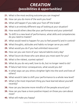## *CREATION (possibilities & opportunities)*

- **21.** What is the most exciting outcome you can imagine?
- **22.** How can you do more of the work you love?
- **23.** What will happen if you take your foot off the brake?
- **24.** What is an entirely different way of looking at your situation?
- **25.** How would others describe your performance and your potential?
- **26.** To shift to a new level of performance, what skills and competencies do you need to master?
- **27.** What would need to happen for you to feel powerful and in control?
- **28.** What thoughts, attitudes and habits no longer serve you well?
- **29.** What would you do if you had unlimited resources?
- **30.** How can you use more of your natural talents every day?
- **31.** What future do those who care about you most want for you?
- **32.** What is the riskiest, scariest option?
- **33.** What do you do very well, love to do, but no longer need to do?
- **34.** If failure had minor consequences, what would you do?
- **35.** In what ways can you shine a brighter light into the work and lives of others?
- **36.** What would it take to shift your performance to a whole new level?
- **37.** What is the most important thing you have learned about yourself recently?
- **38.** How can you become more mindful of the people around you?
- **39.** How can you have a more positive impact on those you care about most?
- **40.** What will make you happy?